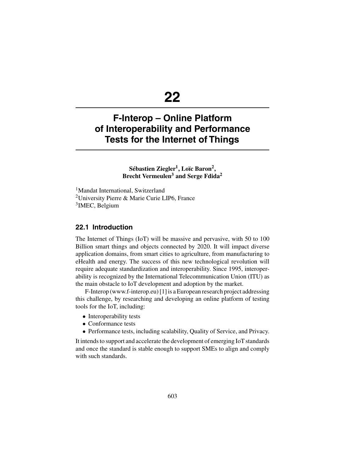# **22**

# **F-Interop – Online Platform of Interoperability and Performance Tests for the Internet of Things**

## Sébastien Ziegler<sup>1</sup>, Loïc Baron<sup>2</sup>, **Brecht Vermeulen3 and Serge Fdida2**

<sup>1</sup>Mandat International, Switzerland 2University Pierre & Marie Curie LIP6, France <sup>3</sup>IMEC, Belgium

#### **22.1 Introduction**

The Internet of Things (IoT) will be massive and pervasive, with 50 to 100 Billion smart things and objects connected by 2020. It will impact diverse application domains, from smart cities to agriculture, from manufacturing to eHealth and energy. The success of this new technological revolution will require adequate standardization and interoperability. Since 1995, interoperability is recognized by the International Telecommunication Union (ITU) as the main obstacle to IoT development and adoption by the market.

F-Interop (www.f-interop.eu) [1] is a European research project addressing this challenge, by researching and developing an online platform of testing tools for the IoT, including:

- Interoperability tests
- Conformance tests
- Performance tests, including scalability, Quality of Service, and Privacy.

It intends to support and accelerate the development of emerging IoT standards and once the standard is stable enough to support SMEs to align and comply with such standards.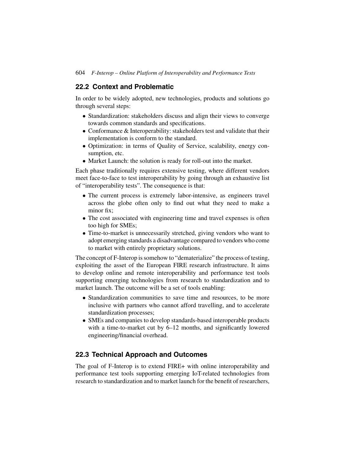## **22.2 Context and Problematic**

In order to be widely adopted, new technologies, products and solutions go through several steps:

- Standardization: stakeholders discuss and align their views to converge towards common standards and specifications.
- Conformance & Interoperability: stakeholders test and validate that their implementation is conform to the standard.
- Optimization: in terms of Quality of Service, scalability, energy consumption, etc.
- Market Launch: the solution is ready for roll-out into the market.

Each phase traditionally requires extensive testing, where different vendors meet face-to-face to test interoperability by going through an exhaustive list of "interoperability tests". The consequence is that:

- The current process is extremely labor-intensive, as engineers travel across the globe often only to find out what they need to make a minor fix;
- The cost associated with engineering time and travel expenses is often too high for SMEs;
- Time-to-market is unnecessarily stretched, giving vendors who want to adopt emerging standards a disadvantage compared to vendors who come to market with entirely proprietary solutions.

The concept of F-Interop is somehow to "dematerialize" the process of testing, exploiting the asset of the European FIRE research infrastructure. It aims to develop online and remote interoperability and performance test tools supporting emerging technologies from research to standardization and to market launch. The outcome will be a set of tools enabling:

- Standardization communities to save time and resources, to be more inclusive with partners who cannot afford travelling, and to accelerate standardization processes;
- SMEs and companies to develop standards-based interoperable products with a time-to-market cut by 6–12 months, and significantly lowered engineering/financial overhead.

# **22.3 Technical Approach and Outcomes**

The goal of F-Interop is to extend FIRE+ with online interoperability and performance test tools supporting emerging IoT-related technologies from research to standardization and to market launch for the benefit of researchers,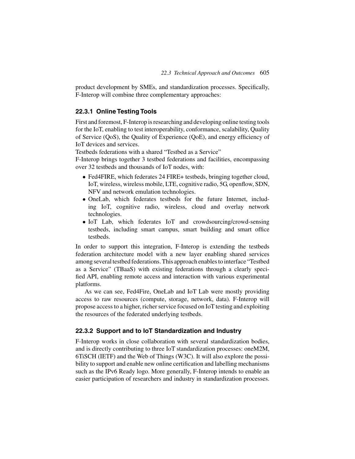product development by SMEs, and standardization processes. Specifically, F-Interop will combine three complementary approaches:

#### **22.3.1 Online Testing Tools**

First and foremost, F-Interop is researching and developing online testing tools for the IoT, enabling to test interoperability, conformance, scalability, Quality of Service (QoS), the Quality of Experience (QoE), and energy efficiency of IoT devices and services.

Testbeds federations with a shared "Testbed as a Service"

F-Interop brings together 3 testbed federations and facilities, encompassing over 32 testbeds and thousands of IoT nodes, with:

- Fed4FIRE, which federates 24 FIRE+ testbeds, bringing together cloud, IoT, wireless, wireless mobile, LTE, cognitive radio, 5G, openflow, SDN, NFV and network emulation technologies.
- OneLab, which federates testbeds for the future Internet, including IoT, cognitive radio, wireless, cloud and overlay network technologies.
- IoT Lab, which federates IoT and crowdsourcing/crowd-sensing testbeds, including smart campus, smart building and smart office testbeds.

In order to support this integration, F-Interop is extending the testbeds federation architecture model with a new layer enabling shared services among several testbed federations. This approach enables to interface "Testbed as a Service" (TBaaS) with existing federations through a clearly specified API, enabling remote access and interaction with various experimental platforms.

As we can see, Fed4Fire, OneLab and IoT Lab were mostly providing access to raw resources (compute, storage, network, data). F-Interop will propose access to a higher, richer service focused on IoT testing and exploiting the resources of the federated underlying testbeds.

#### **22.3.2 Support and to IoT Standardization and Industry**

F-Interop works in close collaboration with several standardization bodies, and is directly contributing to three IoT standardization processes: oneM2M, 6TiSCH (IETF) and the Web of Things (W3C). It will also explore the possibility to support and enable new online certification and labelling mechanisms such as the IPv6 Ready logo. More generally, F-Interop intends to enable an easier participation of researchers and industry in standardization processes.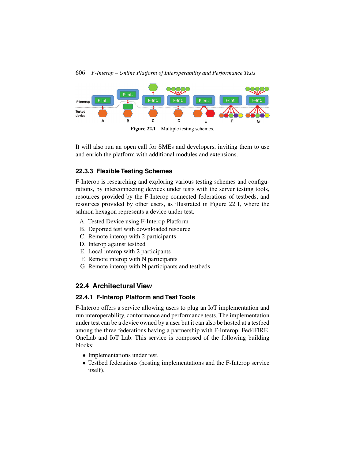

Figure 22.1 Multiple testing schemes.

It will also run an open call for SMEs and developers, inviting them to use and enrich the platform with additional modules and extensions.

## **22.3.3 Flexible Testing Schemes**

F-Interop is researching and exploring various testing schemes and configurations, by interconnecting devices under tests with the server testing tools, resources provided by the F-Interop connected federations of testbeds, and resources provided by other users, as illustrated in Figure 22.1, where the salmon hexagon represents a device under test.

- A. Tested Device using F-Interop Platform
- B. Deported test with downloaded resource
- C. Remote interop with 2 participants
- D. Interop against testbed
- E. Local interop with 2 participants
- F. Remote interop with N participants
- G. Remote interop with N participants and testbeds

# **22.4 Architectural View**

# **22.4.1 F-Interop Platform and Test Tools**

F-Interop offers a service allowing users to plug an IoT implementation and run interoperability, conformance and performance tests. The implementation under test can be a device owned by a user but it can also be hosted at a testbed among the three federations having a partnership with F-Interop: Fed4FIRE, OneLab and IoT Lab. This service is composed of the following building blocks:

- Implementations under test.
- Testbed federations (hosting implementations and the F-Interop service itself).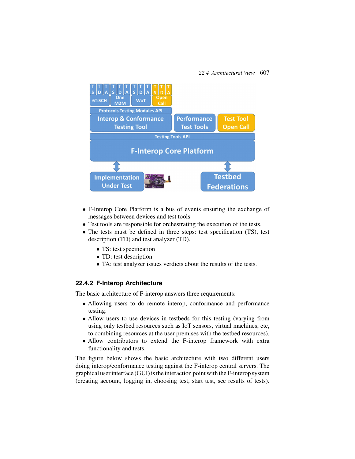

- F-Interop Core Platform is a bus of events ensuring the exchange of messages between devices and test tools.
- Test tools are responsible for orchestrating the execution of the tests.
- The tests must be defined in three steps: test specification (TS), test description (TD) and test analyzer (TD).
	- TS: test specification
	- TD: test description
	- TA: test analyzer issues verdicts about the results of the tests.

#### **22.4.2 F-Interop Architecture**

The basic architecture of F-interop answers three requirements:

- Allowing users to do remote interop, conformance and performance testing.
- Allow users to use devices in testbeds for this testing (varying from using only testbed resources such as IoT sensors, virtual machines, etc, to combining resources at the user premises with the testbed resources).
- Allow contributors to extend the F-interop framework with extra functionality and tests.

The figure below shows the basic architecture with two different users doing interop/conformance testing against the F-interop central servers. The graphical user interface (GUI) is the interaction point with the F-interop system (creating account, logging in, choosing test, start test, see results of tests).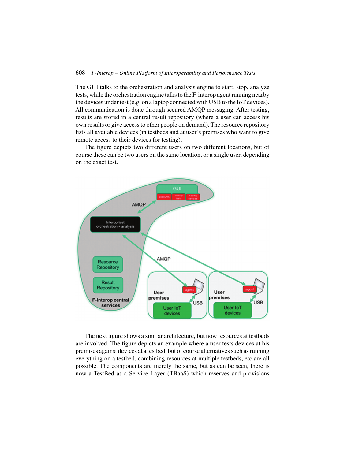The GUI talks to the orchestration and analysis engine to start, stop, analyze tests, while the orchestration engine talks to the F-interop agent running nearby the devices under test (e.g. on a laptop connected with USB to the IoT devices). All communication is done through secured AMQP messaging. After testing, results are stored in a central result repository (where a user can access his own results or give access to other people on demand). The resource repository lists all available devices (in testbeds and at user's premises who want to give remote access to their devices for testing).

The figure depicts two different users on two different locations, but of course these can be two users on the same location, or a single user, depending on the exact test.



The next figure shows a similar architecture, but now resources at testbeds are involved. The figure depicts an example where a user tests devices at his premises against devices at a testbed, but of course alternatives such as running everything on a testbed, combining resources at multiple testbeds, etc are all possible. The components are merely the same, but as can be seen, there is now a TestBed as a Service Layer (TBaaS) which reserves and provisions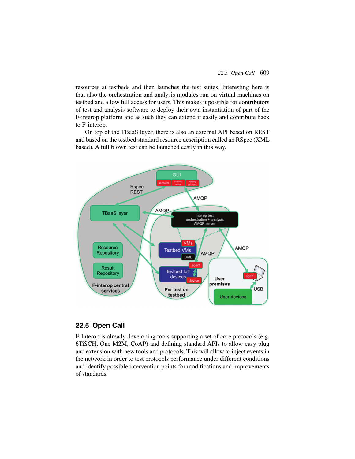resources at testbeds and then launches the test suites. Interesting here is that also the orchestration and analysis modules run on virtual machines on testbed and allow full access for users. This makes it possible for contributors of test and analysis software to deploy their own instantiation of part of the F-interop platform and as such they can extend it easily and contribute back to F-interop.

On top of the TBaaS layer, there is also an external API based on REST and based on the testbed standard resource description called an RSpec (XML based). A full blown test can be launched easily in this way.



# **22.5 Open Call**

F-Interop is already developing tools supporting a set of core protocols (e.g. 6TiSCH, One M2M, CoAP) and defining standard APIs to allow easy plug and extension with new tools and protocols. This will allow to inject events in the network in order to test protocols performance under different conditions and identify possible intervention points for modifications and improvements of standards.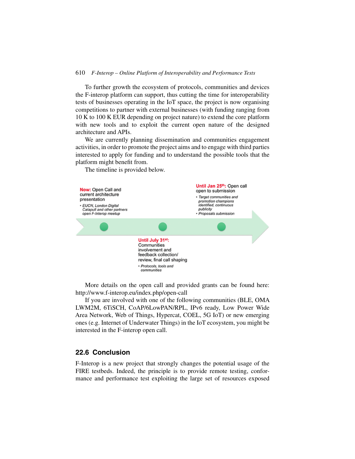To further growth the ecosystem of protocols, communities and devices the F-interop platform can support, thus cutting the time for interoperability tests of businesses operating in the IoT space, the project is now organising competitions to partner with external businesses (with funding ranging from 10 K to 100 K EUR depending on project nature) to extend the core platform with new tools and to exploit the current open nature of the designed architecture and APIs.

We are currently planning dissemination and communities engagement activities, in order to promote the project aims and to engage with third parties interested to apply for funding and to understand the possible tools that the platform might benefit from.

The timeline is provided below.



More details on the open call and provided grants can be found here: http://www.f-interop.eu/index.php/open-call

If you are involved with one of the following communities (BLE, OMA LWM2M, 6TiSCH, CoAP/6LowPAN/RPL, IPv6 ready, Low Power Wide Area Network, Web of Things, Hypercat, COEL, 5G IoT) or new emerging ones (e.g. Internet of Underwater Things) in the IoT ecosystem, you might be interested in the F-interop open call.

#### **22.6 Conclusion**

F-Interop is a new project that strongly changes the potential usage of the FIRE testbeds. Indeed, the principle is to provide remote testing, conformance and performance test exploiting the large set of resources exposed